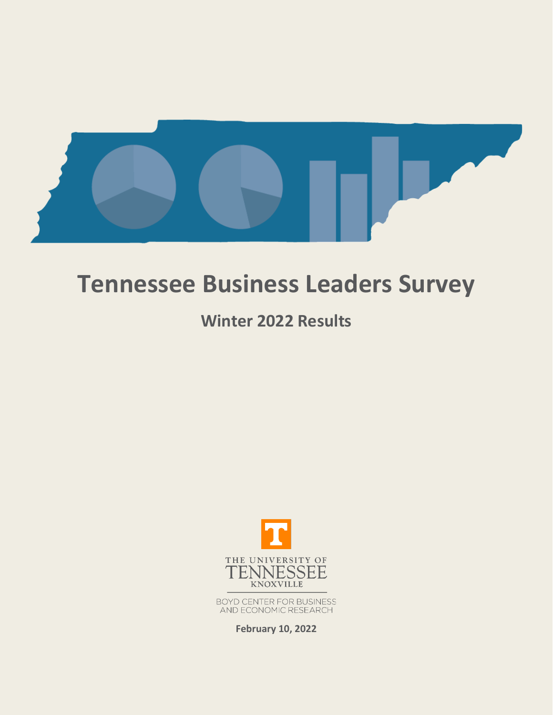

# **Tennessee Business Leaders Survey**

## **Winter 2022 Results**



BOYD CENTER FOR BUSINESS<br>AND ECONOMIC RESEARCH

**February 10, 2022**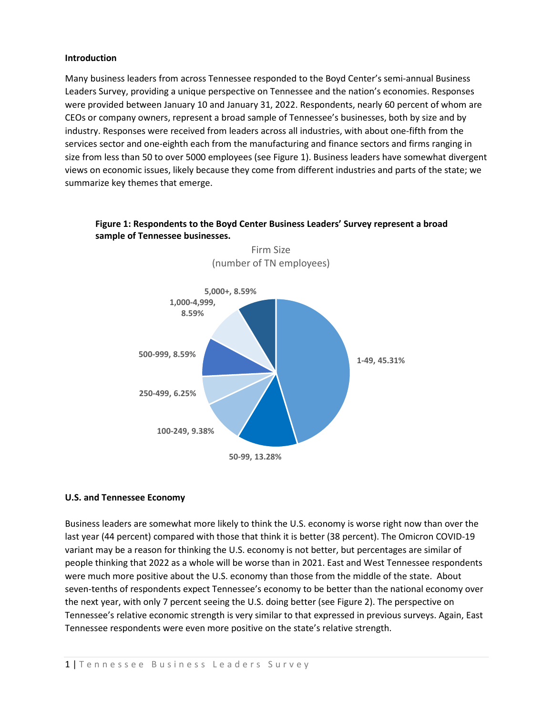#### **Introduction**

Many business leaders from across Tennessee responded to the Boyd Center's semi-annual Business Leaders Survey, providing a unique perspective on Tennessee and the nation's economies. Responses were provided between January 10 and January 31, 2022. Respondents, nearly 60 percent of whom are CEOs or company owners, represent a broad sample of Tennessee's businesses, both by size and by industry. Responses were received from leaders across all industries, with about one-fifth from the services sector and one-eighth each from the manufacturing and finance sectors and firms ranging in size from less than 50 to over 5000 employees (see Figure 1). Business leaders have somewhat divergent views on economic issues, likely because they come from different industries and parts of the state; we summarize key themes that emerge.



## **Figure 1: Respondents to the Boyd Center Business Leaders' Survey represent a broad sample of Tennessee businesses.**

Firm Size

### **U.S. and Tennessee Economy**

Business leaders are somewhat more likely to think the U.S. economy is worse right now than over the last year (44 percent) compared with those that think it is better (38 percent). The Omicron COVID-19 variant may be a reason for thinking the U.S. economy is not better, but percentages are similar of people thinking that 2022 as a whole will be worse than in 2021. East and West Tennessee respondents were much more positive about the U.S. economy than those from the middle of the state. About seven-tenths of respondents expect Tennessee's economy to be better than the national economy over the next year, with only 7 percent seeing the U.S. doing better (see Figure 2). The perspective on Tennessee's relative economic strength is very similar to that expressed in previous surveys. Again, East Tennessee respondents were even more positive on the state's relative strength.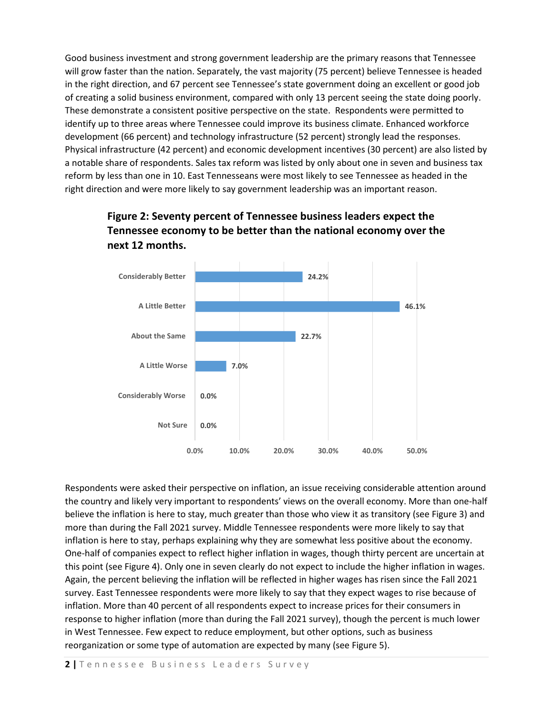Good business investment and strong government leadership are the primary reasons that Tennessee will grow faster than the nation. Separately, the vast majority (75 percent) believe Tennessee is headed in the right direction, and 67 percent see Tennessee's state government doing an excellent or good job of creating a solid business environment, compared with only 13 percent seeing the state doing poorly. These demonstrate a consistent positive perspective on the state. Respondents were permitted to identify up to three areas where Tennessee could improve its business climate. Enhanced workforce development (66 percent) and technology infrastructure (52 percent) strongly lead the responses. Physical infrastructure (42 percent) and economic development incentives (30 percent) are also listed by a notable share of respondents. Sales tax reform was listed by only about one in seven and business tax reform by less than one in 10. East Tennesseans were most likely to see Tennessee as headed in the right direction and were more likely to say government leadership was an important reason.



## **Figure 2: Seventy percent of Tennessee business leaders expect the Tennessee economy to be better than the national economy over the next 12 months.**

Respondents were asked their perspective on inflation, an issue receiving considerable attention around the country and likely very important to respondents' views on the overall economy. More than one-half believe the inflation is here to stay, much greater than those who view it as transitory (see Figure 3) and more than during the Fall 2021 survey. Middle Tennessee respondents were more likely to say that inflation is here to stay, perhaps explaining why they are somewhat less positive about the economy. One-half of companies expect to reflect higher inflation in wages, though thirty percent are uncertain at this point (see Figure 4). Only one in seven clearly do not expect to include the higher inflation in wages. Again, the percent believing the inflation will be reflected in higher wages has risen since the Fall 2021 survey. East Tennessee respondents were more likely to say that they expect wages to rise because of inflation. More than 40 percent of all respondents expect to increase prices for their consumers in response to higher inflation (more than during the Fall 2021 survey), though the percent is much lower in West Tennessee. Few expect to reduce employment, but other options, such as business reorganization or some type of automation are expected by many (see Figure 5).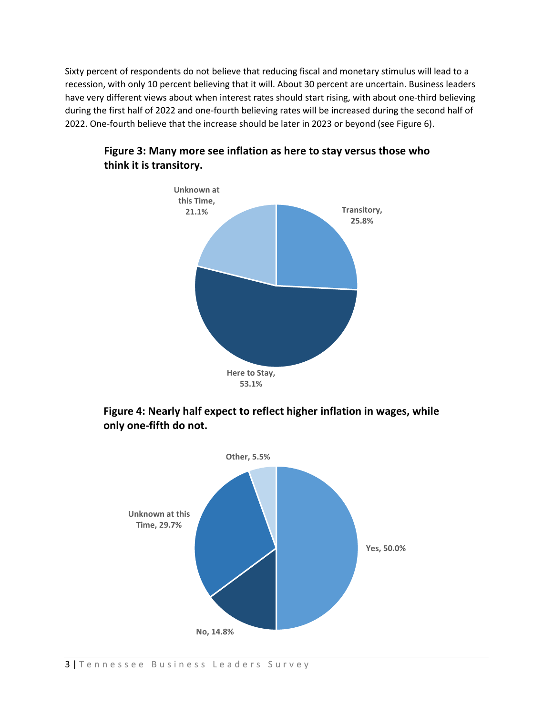Sixty percent of respondents do not believe that reducing fiscal and monetary stimulus will lead to a recession, with only 10 percent believing that it will. About 30 percent are uncertain. Business leaders have very different views about when interest rates should start rising, with about one-third believing during the first half of 2022 and one-fourth believing rates will be increased during the second half of 2022. One-fourth believe that the increase should be later in 2023 or beyond (see Figure 6).



## **Figure 3: Many more see inflation as here to stay versus those who think it is transitory.**

**Figure 4: Nearly half expect to reflect higher inflation in wages, while only one-fifth do not.**

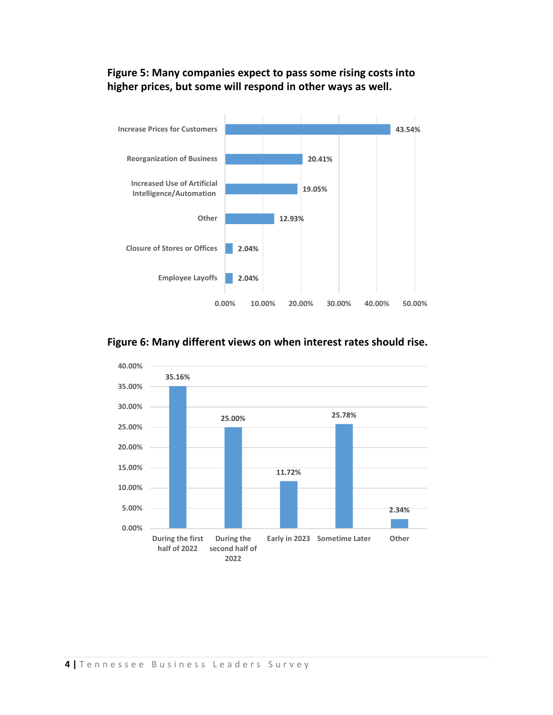## **Figure 5: Many companies expect to pass some rising costs into higher prices, but some will respond in other ways as well.**



## **Figure 6: Many different views on when interest rates should rise.**